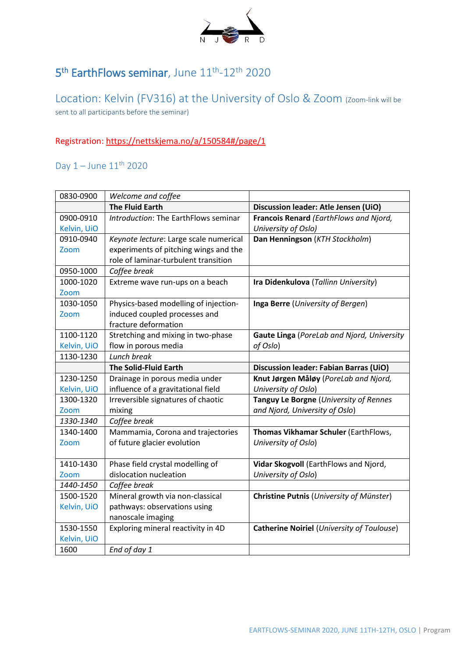

## 5<sup>th</sup> EarthFlows seminar, June 11<sup>th</sup>-12<sup>th</sup> 2020

Location: Kelvin (FV316) at the University of Oslo & Zoom (Zoom-link will be sent to all participants before the seminar)

## Registration[: https://nettskjema.no/a/150584#/page/1](https://nettskjema.no/a/150584#/page/1)

## Day  $1 -$  June  $11<sup>th</sup>$  2020

| 0830-0900   | Welcome and coffee                     |                                                   |
|-------------|----------------------------------------|---------------------------------------------------|
|             | <b>The Fluid Earth</b>                 | Discussion leader: Atle Jensen (UiO)              |
| 0900-0910   | Introduction: The EarthFlows seminar   | Francois Renard (EarthFlows and Njord,            |
| Kelvin, UiO |                                        | University of Oslo)                               |
| 0910-0940   | Keynote lecture: Large scale numerical | Dan Henningson (KTH Stockholm)                    |
| Zoom        | experiments of pitching wings and the  |                                                   |
|             | role of laminar-turbulent transition   |                                                   |
| 0950-1000   | Coffee break                           |                                                   |
| 1000-1020   | Extreme wave run-ups on a beach        | Ira Didenkulova (Tallinn University)              |
| Zoom        |                                        |                                                   |
| 1030-1050   | Physics-based modelling of injection-  | Inga Berre (University of Bergen)                 |
| Zoom        | induced coupled processes and          |                                                   |
|             | fracture deformation                   |                                                   |
| 1100-1120   | Stretching and mixing in two-phase     | Gaute Linga (PoreLab and Njord, University        |
| Kelvin, UiO | flow in porous media                   | of Oslo)                                          |
| 1130-1230   | Lunch break                            |                                                   |
|             | <b>The Solid-Fluid Earth</b>           | Discussion leader: Fabian Barras (UiO)            |
| 1230-1250   | Drainage in porous media under         | Knut Jørgen Måløy (PoreLab and Njord,             |
| Kelvin, UiO | influence of a gravitational field     | University of Oslo)                               |
| 1300-1320   | Irreversible signatures of chaotic     | Tanguy Le Borgne (University of Rennes            |
| Zoom        | mixing                                 | and Njord, University of Oslo)                    |
| 1330-1340   | Coffee break                           |                                                   |
| 1340-1400   | Mammamia, Corona and trajectories      | Thomas Vikhamar Schuler (EarthFlows,              |
| Zoom        | of future glacier evolution            | University of Oslo)                               |
|             |                                        |                                                   |
| 1410-1430   | Phase field crystal modelling of       | Vidar Skogvoll (EarthFlows and Njord,             |
| Zoom        | dislocation nucleation                 | University of Oslo)                               |
| 1440-1450   | Coffee break                           |                                                   |
| 1500-1520   | Mineral growth via non-classical       | <b>Christine Putnis (University of Münster)</b>   |
| Kelvin, UiO | pathways: observations using           |                                                   |
|             | nanoscale imaging                      |                                                   |
| 1530-1550   | Exploring mineral reactivity in 4D     | <b>Catherine Noiriel (University of Toulouse)</b> |
| Kelvin, UiO |                                        |                                                   |
| 1600        | End of day 1                           |                                                   |